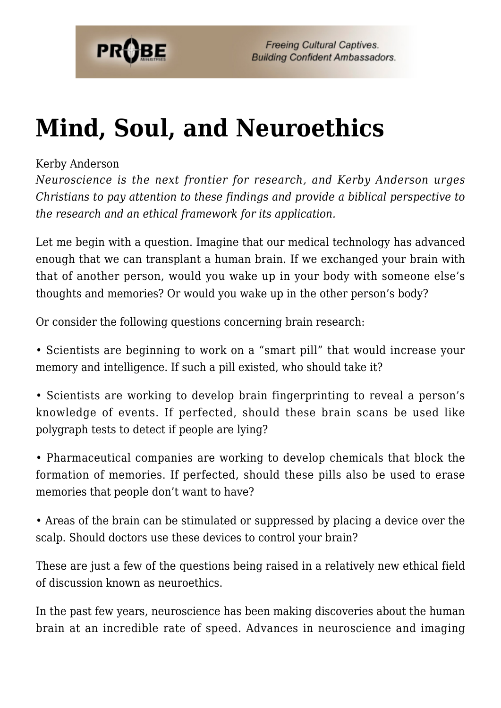

# **[Mind, Soul, and Neuroethics](https://probe.org/mind-soul-and-neuroethics/)**

### Kerby Anderson

*Neuroscience is the next frontier for research, and Kerby Anderson urges Christians to pay attention to these findings and provide a biblical perspective to the research and an ethical framework for its application.*

Let me begin with a question. Imagine that our medical technology has advanced enough that we can transplant a human brain. If we exchanged your brain with that of another person, would you wake up in your body with someone else's thoughts and memories? Or would you wake up in the other person's body?

Or consider the following questions concerning brain research:

• Scientists are beginning to work on a "smart pill" that would increase your memory and intelligence. If such a pill existed, who should take it?

• Scientists are working to develop brain fingerprinting to reveal a person's knowledge of events. If perfected, should these brain scans be used like polygraph tests to detect if people are lying?

• Pharmaceutical companies are working to develop chemicals that block the formation of memories. If perfected, should these pills also be used to erase memories that people don't want to have?

• Areas of the brain can be stimulated or suppressed by placing a device over the scalp. Should doctors use these devices to control your brain?

These are just a few of the questions being raised in a relatively new ethical field of discussion known as neuroethics.

In the past few years, neuroscience has been making discoveries about the human brain at an incredible rate of speed. Advances in neuroscience and imaging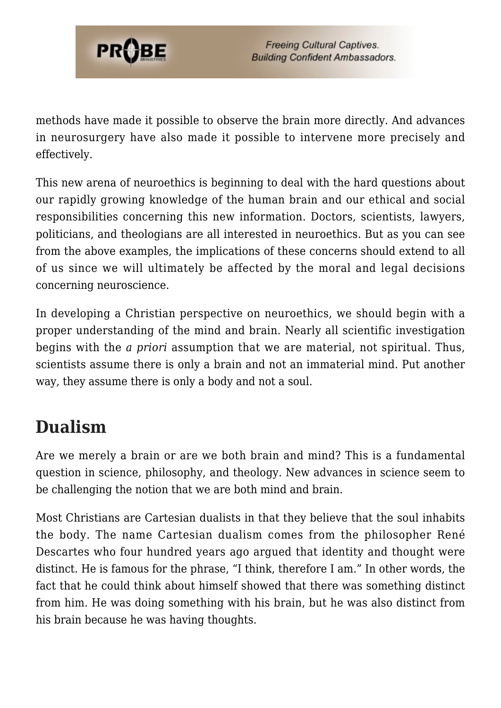

methods have made it possible to observe the brain more directly. And advances in neurosurgery have also made it possible to intervene more precisely and effectively.

This new arena of neuroethics is beginning to deal with the hard questions about our rapidly growing knowledge of the human brain and our ethical and social responsibilities concerning this new information. Doctors, scientists, lawyers, politicians, and theologians are all interested in neuroethics. But as you can see from the above examples, the implications of these concerns should extend to all of us since we will ultimately be affected by the moral and legal decisions concerning neuroscience.

In developing a Christian perspective on neuroethics, we should begin with a proper understanding of the mind and brain. Nearly all scientific investigation begins with the *a priori* assumption that we are material, not spiritual. Thus, scientists assume there is only a brain and not an immaterial mind. Put another way, they assume there is only a body and not a soul.

# **Dualism**

Are we merely a brain or are we both brain and mind? This is a fundamental question in science, philosophy, and theology. New advances in science seem to be challenging the notion that we are both mind and brain.

Most Christians are Cartesian dualists in that they believe that the soul inhabits the body. The name Cartesian dualism comes from the philosopher René Descartes who four hundred years ago argued that identity and thought were distinct. He is famous for the phrase, "I think, therefore I am." In other words, the fact that he could think about himself showed that there was something distinct from him. He was doing something with his brain, but he was also distinct from his brain because he was having thoughts.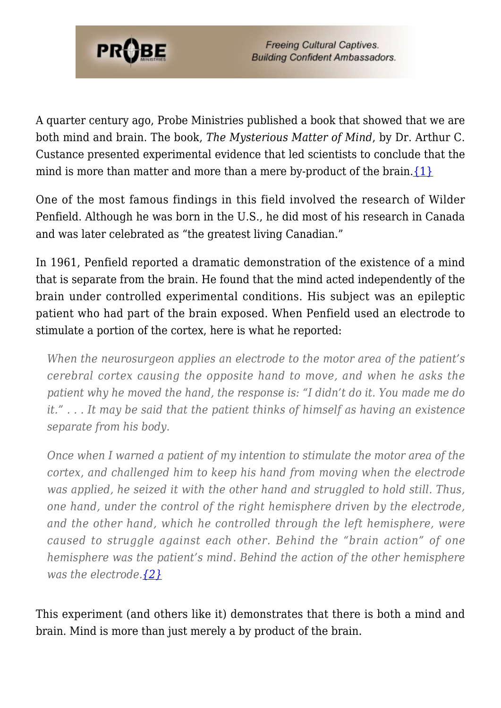

A quarter century ago, Probe Ministries published a book that showed that we are both mind and brain. The book, *The Mysterious Matter of Mind*, by Dr. Arthur C. Custance presented experimental evidence that led scientists to conclude that the mind is more than matter and more than a mere by-product of the brain. $\{1\}$ 

One of the most famous findings in this field involved the research of Wilder Penfield. Although he was born in the U.S., he did most of his research in Canada and was later celebrated as "the greatest living Canadian."

In 1961, Penfield reported a dramatic demonstration of the existence of a mind that is separate from the brain. He found that the mind acted independently of the brain under controlled experimental conditions. His subject was an epileptic patient who had part of the brain exposed. When Penfield used an electrode to stimulate a portion of the cortex, here is what he reported:

*When the neurosurgeon applies an electrode to the motor area of the patient's cerebral cortex causing the opposite hand to move, and when he asks the patient why he moved the hand, the response is: "I didn't do it. You made me do it." . . . It may be said that the patient thinks of himself as having an existence separate from his body.*

*Once when I warned a patient of my intention to stimulate the motor area of the cortex, and challenged him to keep his hand from moving when the electrode was applied, he seized it with the other hand and struggled to hold still. Thus, one hand, under the control of the right hemisphere driven by the electrode, and the other hand, which he controlled through the left hemisphere, were caused to struggle against each other. Behind the "brain action" of one hemisphere was the patient's mind. Behind the action of the other hemisphere was the electrode[.{2}](#page-7-1)*

This experiment (and others like it) demonstrates that there is both a mind and brain. Mind is more than just merely a by product of the brain.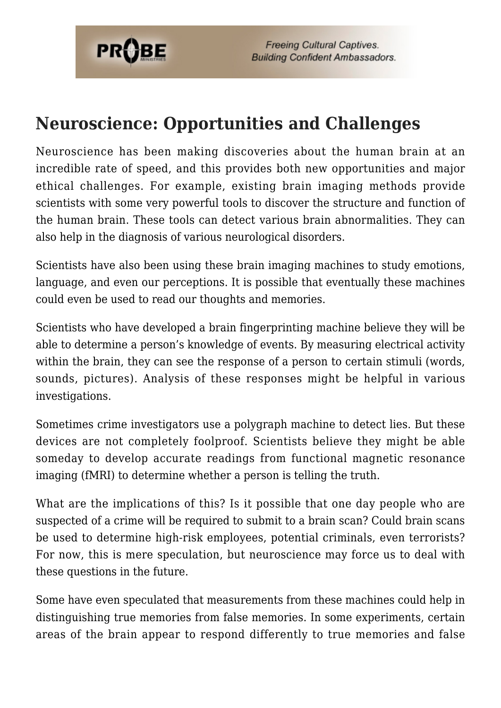

### **Neuroscience: Opportunities and Challenges**

Neuroscience has been making discoveries about the human brain at an incredible rate of speed, and this provides both new opportunities and major ethical challenges. For example, existing brain imaging methods provide scientists with some very powerful tools to discover the structure and function of the human brain. These tools can detect various brain abnormalities. They can also help in the diagnosis of various neurological disorders.

Scientists have also been using these brain imaging machines to study emotions, language, and even our perceptions. It is possible that eventually these machines could even be used to read our thoughts and memories.

Scientists who have developed a brain fingerprinting machine believe they will be able to determine a person's knowledge of events. By measuring electrical activity within the brain, they can see the response of a person to certain stimuli (words, sounds, pictures). Analysis of these responses might be helpful in various investigations.

Sometimes crime investigators use a polygraph machine to detect lies. But these devices are not completely foolproof. Scientists believe they might be able someday to develop accurate readings from functional magnetic resonance imaging (fMRI) to determine whether a person is telling the truth.

What are the implications of this? Is it possible that one day people who are suspected of a crime will be required to submit to a brain scan? Could brain scans be used to determine high-risk employees, potential criminals, even terrorists? For now, this is mere speculation, but neuroscience may force us to deal with these questions in the future.

Some have even speculated that measurements from these machines could help in distinguishing true memories from false memories. In some experiments, certain areas of the brain appear to respond differently to true memories and false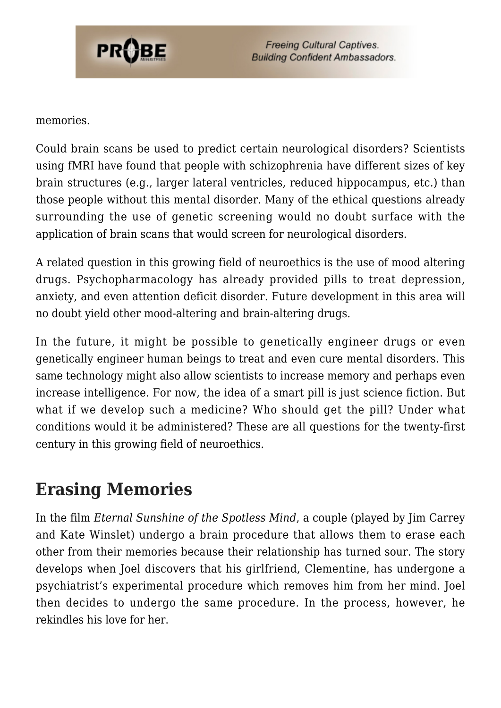

#### memories.

Could brain scans be used to predict certain neurological disorders? Scientists using fMRI have found that people with schizophrenia have different sizes of key brain structures (e.g., larger lateral ventricles, reduced hippocampus, etc.) than those people without this mental disorder. Many of the ethical questions already surrounding the use of genetic screening would no doubt surface with the application of brain scans that would screen for neurological disorders.

A related question in this growing field of neuroethics is the use of mood altering drugs. Psychopharmacology has already provided pills to treat depression, anxiety, and even attention deficit disorder. Future development in this area will no doubt yield other mood-altering and brain-altering drugs.

In the future, it might be possible to genetically engineer drugs or even genetically engineer human beings to treat and even cure mental disorders. This same technology might also allow scientists to increase memory and perhaps even increase intelligence. For now, the idea of a smart pill is just science fiction. But what if we develop such a medicine? Who should get the pill? Under what conditions would it be administered? These are all questions for the twenty-first century in this growing field of neuroethics.

### **Erasing Memories**

In the film *Eternal Sunshine of the Spotless Mind*, a couple (played by Jim Carrey and Kate Winslet) undergo a brain procedure that allows them to erase each other from their memories because their relationship has turned sour. The story develops when Joel discovers that his girlfriend, Clementine, has undergone a psychiatrist's experimental procedure which removes him from her mind. Joel then decides to undergo the same procedure. In the process, however, he rekindles his love for her.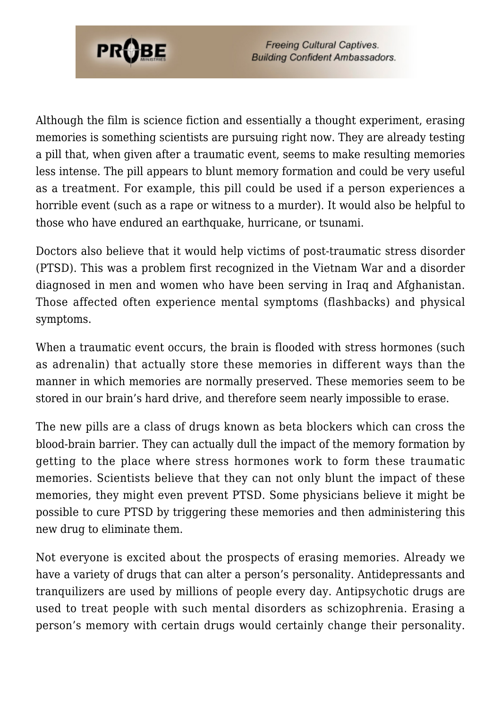

Although the film is science fiction and essentially a thought experiment, erasing memories is something scientists are pursuing right now. They are already testing a pill that, when given after a traumatic event, seems to make resulting memories less intense. The pill appears to blunt memory formation and could be very useful as a treatment. For example, this pill could be used if a person experiences a horrible event (such as a rape or witness to a murder). It would also be helpful to those who have endured an earthquake, hurricane, or tsunami.

Doctors also believe that it would help victims of post-traumatic stress disorder (PTSD). This was a problem first recognized in the Vietnam War and a disorder diagnosed in men and women who have been serving in Iraq and Afghanistan. Those affected often experience mental symptoms (flashbacks) and physical symptoms.

When a traumatic event occurs, the brain is flooded with stress hormones (such as adrenalin) that actually store these memories in different ways than the manner in which memories are normally preserved. These memories seem to be stored in our brain's hard drive, and therefore seem nearly impossible to erase.

The new pills are a class of drugs known as beta blockers which can cross the blood-brain barrier. They can actually dull the impact of the memory formation by getting to the place where stress hormones work to form these traumatic memories. Scientists believe that they can not only blunt the impact of these memories, they might even prevent PTSD. Some physicians believe it might be possible to cure PTSD by triggering these memories and then administering this new drug to eliminate them.

Not everyone is excited about the prospects of erasing memories. Already we have a variety of drugs that can alter a person's personality. Antidepressants and tranquilizers are used by millions of people every day. Antipsychotic drugs are used to treat people with such mental disorders as schizophrenia. Erasing a person's memory with certain drugs would certainly change their personality.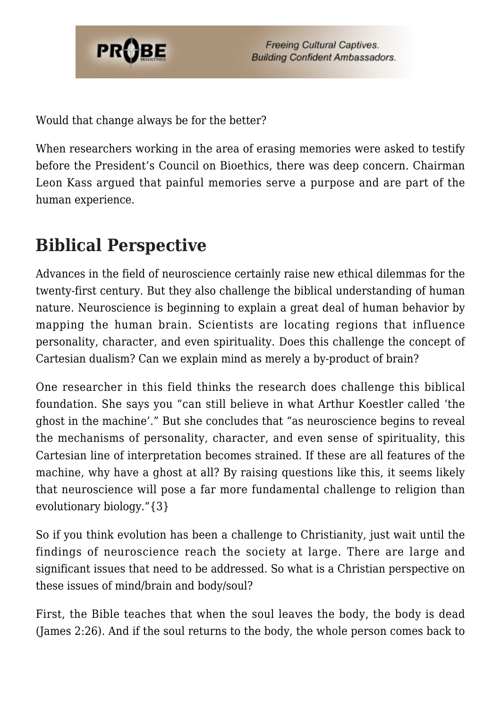

Would that change always be for the better?

When researchers working in the area of erasing memories were asked to testify before the President's Council on Bioethics, there was deep concern. Chairman Leon Kass argued that painful memories serve a purpose and are part of the human experience.

## **Biblical Perspective**

Advances in the field of neuroscience certainly raise new ethical dilemmas for the twenty-first century. But they also challenge the biblical understanding of human nature. Neuroscience is beginning to explain a great deal of human behavior by mapping the human brain. Scientists are locating regions that influence personality, character, and even spirituality. Does this challenge the concept of Cartesian dualism? Can we explain mind as merely a by-product of brain?

One researcher in this field thinks the research does challenge this biblical foundation. She says you "can still believe in what Arthur Koestler called 'the ghost in the machine'." But she concludes that "as neuroscience begins to reveal the mechanisms of personality, character, and even sense of spirituality, this Cartesian line of interpretation becomes strained. If these are all features of the machine, why have a ghost at all? By raising questions like this, it seems likely that neuroscience will pose a far more fundamental challenge to religion than evolutionary biology."{3}

So if you think evolution has been a challenge to Christianity, just wait until the findings of neuroscience reach the society at large. There are large and significant issues that need to be addressed. So what is a Christian perspective on these issues of mind/brain and body/soul?

First, the Bible teaches that when the soul leaves the body, the body is dead (James 2:26). And if the soul returns to the body, the whole person comes back to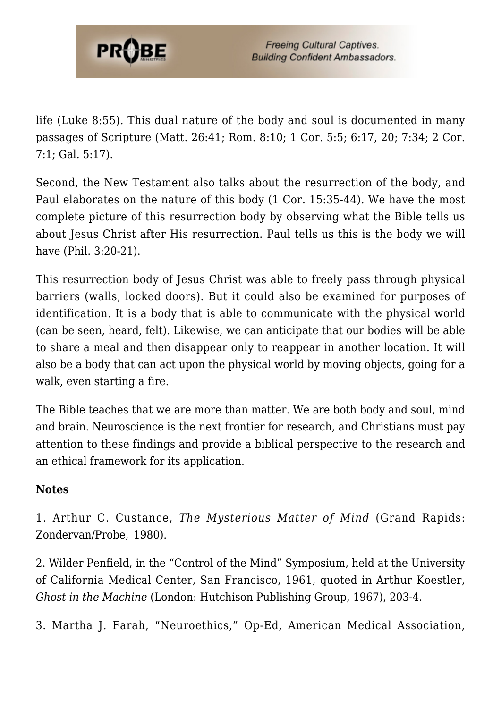

life (Luke 8:55). This dual nature of the body and soul is documented in many passages of Scripture (Matt. 26:41; Rom. 8:10; 1 Cor. 5:5; 6:17, 20; 7:34; 2 Cor. 7:1; Gal. 5:17).

Second, the New Testament also talks about the resurrection of the body, and Paul elaborates on the nature of this body (1 Cor. 15:35-44). We have the most complete picture of this resurrection body by observing what the Bible tells us about Jesus Christ after His resurrection. Paul tells us this is the body we will have (Phil. 3:20-21).

This resurrection body of Jesus Christ was able to freely pass through physical barriers (walls, locked doors). But it could also be examined for purposes of identification. It is a body that is able to communicate with the physical world (can be seen, heard, felt). Likewise, we can anticipate that our bodies will be able to share a meal and then disappear only to reappear in another location. It will also be a body that can act upon the physical world by moving objects, going for a walk, even starting a fire.

The Bible teaches that we are more than matter. We are both body and soul, mind and brain. Neuroscience is the next frontier for research, and Christians must pay attention to these findings and provide a biblical perspective to the research and an ethical framework for its application.

### **Notes**

<span id="page-7-0"></span>1. Arthur C. Custance, *The Mysterious Matter of Mind* (Grand Rapids: Zondervan/Probe, 1980).

<span id="page-7-1"></span>2. Wilder Penfield, in the "Control of the Mind" Symposium, held at the University of California Medical Center, San Francisco, 1961, quoted in Arthur Koestler, *Ghost in the Machine* (London: Hutchison Publishing Group, 1967), 203-4.

3. Martha J. Farah, "Neuroethics," Op-Ed, American Medical Association,